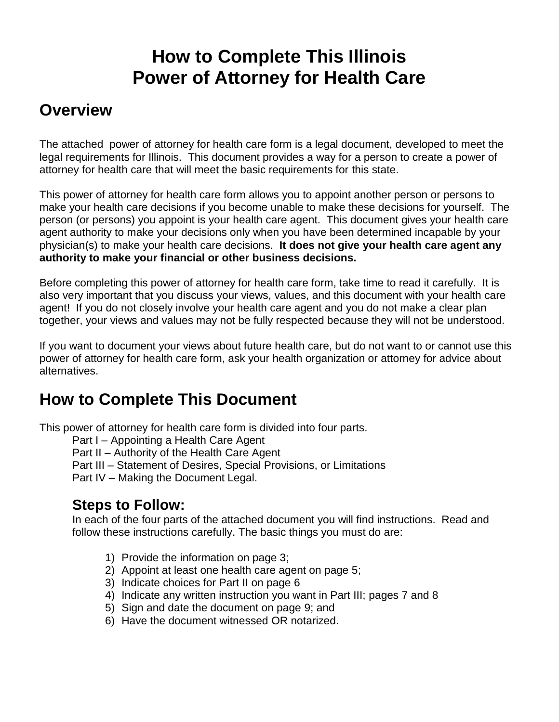# **How to Complete This Illinois Power of Attorney for Health Care**

# **Overview**

The attached power of attorney for health care form is a legal document, developed to meet the legal requirements for Illinois. This document provides a way for a person to create a power of attorney for health care that will meet the basic requirements for this state.

This power of attorney for health care form allows you to appoint another person or persons to make your health care decisions if you become unable to make these decisions for yourself. The person (or persons) you appoint is your health care agent. This document gives your health care agent authority to make your decisions only when you have been determined incapable by your physician(s) to make your health care decisions. **It does not give your health care agent any authority to make your financial or other business decisions.**

Before completing this power of attorney for health care form, take time to read it carefully. It is also very important that you discuss your views, values, and this document with your health care agent! If you do not closely involve your health care agent and you do not make a clear plan together, your views and values may not be fully respected because they will not be understood.

If you want to document your views about future health care, but do not want to or cannot use this power of attorney for health care form, ask your health organization or attorney for advice about alternatives.

# **How to Complete This Document**

This power of attorney for health care form is divided into four parts.

- Part I Appointing a Health Care Agent
- Part II Authority of the Health Care Agent
- Part III Statement of Desires, Special Provisions, or Limitations

Part IV – Making the Document Legal.

## **Steps to Follow:**

In each of the four parts of the attached document you will find instructions. Read and follow these instructions carefully. The basic things you must do are:

- 1) Provide the information on page 3;
- 2) Appoint at least one health care agent on page 5;
- 3) Indicate choices for Part II on page 6
- 4) Indicate any written instruction you want in Part III; pages 7 and 8
- 5) Sign and date the document on page 9; and
- 6) Have the document witnessed OR notarized.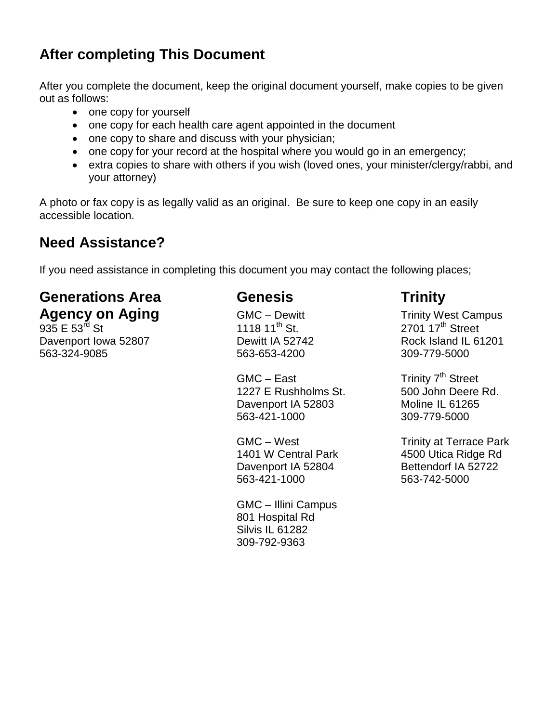# **After completing This Document**

After you complete the document, keep the original document yourself, make copies to be given out as follows:

- one copy for yourself
- one copy for each health care agent appointed in the document
- one copy to share and discuss with your physician;
- one copy for your record at the hospital where you would go in an emergency;
- extra copies to share with others if you wish (loved ones, your minister/clergy/rabbi, and your attorney)

A photo or fax copy is as legally valid as an original. Be sure to keep one copy in an easily accessible location.

# **Need Assistance?**

If you need assistance in completing this document you may contact the following places;

# **Generations Area Genesis Trinity**

Davenport Iowa 52807 Dewitt IA 52742 Rock Island IL 61201 563-324-9085 563-653-4200 309-779-5000

 $GMC - East$  Trinity  $7<sup>th</sup> Street$ 1227 E Rushholms St. 500 John Deere Rd. Davenport IA 52803 Moline IL 61265 563-421-1000 309-779-5000

Davenport IA 52804 Bettendorf IA 52722 563-421-1000 563-742-5000

GMC – Illini Campus 801 Hospital Rd Silvis IL 61282 309-792-9363

**Agency on Aging** GMC – Dewitt Trinity West Campus<br>
935 E 53<sup>rd</sup> St<br>
1118 11<sup>th</sup> St. 2701 17<sup>th</sup> Street  $2701$  17<sup>th</sup> Street

GMC – West Trinity at Terrace Park 1401 W Central Park 4500 Utica Ridge Rd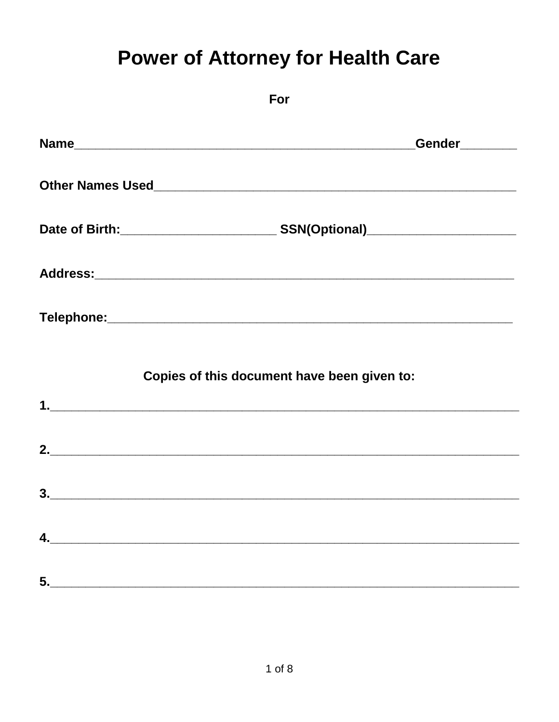# **Power of Attorney for Health Care**

|      | For                                                                                                                                                                                                 |
|------|-----------------------------------------------------------------------------------------------------------------------------------------------------------------------------------------------------|
| Name | Gender Letter Letter Letter Letter Letter Letter Letter Letter Letter Letter Letter Letter Letter Letter Letter Letter Letter Letter Letter Letter Letter Letter Letter Letter Letter Letter Letter |
|      |                                                                                                                                                                                                     |
|      |                                                                                                                                                                                                     |
|      |                                                                                                                                                                                                     |
|      |                                                                                                                                                                                                     |
|      | Copies of this document have been given to:                                                                                                                                                         |
|      |                                                                                                                                                                                                     |
|      |                                                                                                                                                                                                     |
| 4.   |                                                                                                                                                                                                     |
|      |                                                                                                                                                                                                     |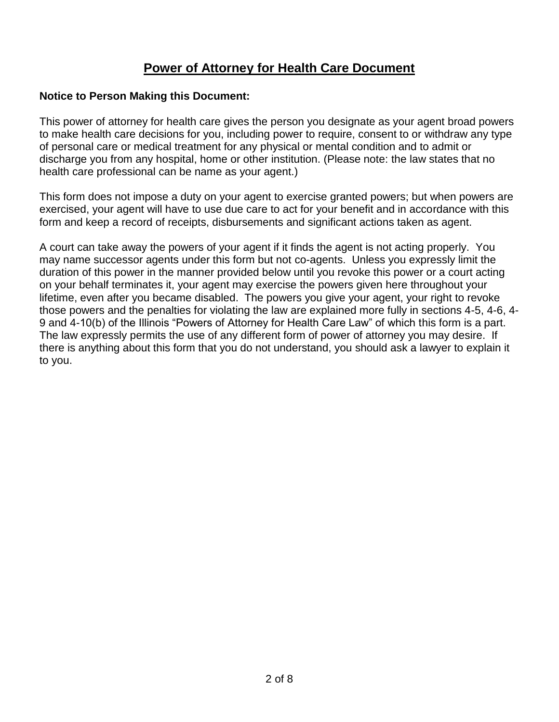#### **Power of Attorney for Health Care Document**

#### **Notice to Person Making this Document:**

This power of attorney for health care gives the person you designate as your agent broad powers to make health care decisions for you, including power to require, consent to or withdraw any type of personal care or medical treatment for any physical or mental condition and to admit or discharge you from any hospital, home or other institution. (Please note: the law states that no health care professional can be name as your agent.)

This form does not impose a duty on your agent to exercise granted powers; but when powers are exercised, your agent will have to use due care to act for your benefit and in accordance with this form and keep a record of receipts, disbursements and significant actions taken as agent.

A court can take away the powers of your agent if it finds the agent is not acting properly. You may name successor agents under this form but not co-agents. Unless you expressly limit the duration of this power in the manner provided below until you revoke this power or a court acting on your behalf terminates it, your agent may exercise the powers given here throughout your lifetime, even after you became disabled. The powers you give your agent, your right to revoke those powers and the penalties for violating the law are explained more fully in sections 4-5, 4-6, 4- 9 and 4-10(b) of the Illinois "Powers of Attorney for Health Care Law" of which this form is a part. The law expressly permits the use of any different form of power of attorney you may desire. If there is anything about this form that you do not understand, you should ask a lawyer to explain it to you.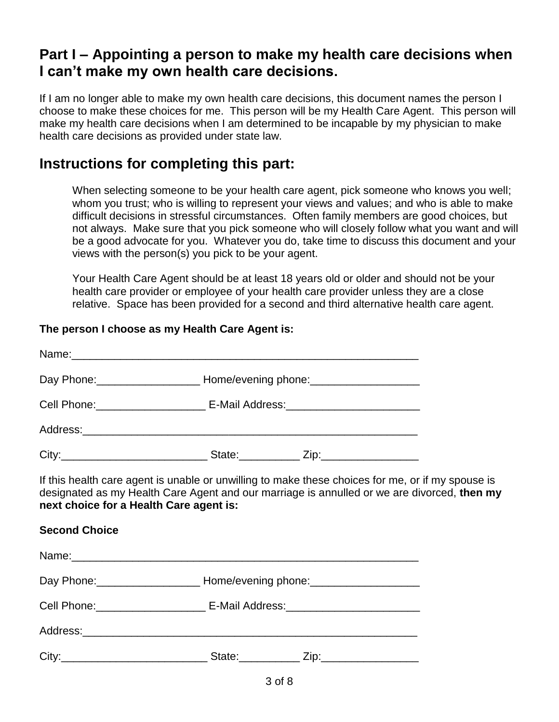# **Part I – Appointing a person to make my health care decisions when I can't make my own health care decisions.**

If I am no longer able to make my own health care decisions, this document names the person I choose to make these choices for me. This person will be my Health Care Agent. This person will make my health care decisions when I am determined to be incapable by my physician to make health care decisions as provided under state law.

# **Instructions for completing this part:**

When selecting someone to be your health care agent, pick someone who knows you well; whom you trust; who is willing to represent your views and values; and who is able to make difficult decisions in stressful circumstances. Often family members are good choices, but not always. Make sure that you pick someone who will closely follow what you want and will be a good advocate for you. Whatever you do, take time to discuss this document and your views with the person(s) you pick to be your agent.

Your Health Care Agent should be at least 18 years old or older and should not be your health care provider or employee of your health care provider unless they are a close relative. Space has been provided for a second and third alternative health care agent.

#### **The person I choose as my Health Care Agent is:**

|                                         |                                                                                  | Day Phone: ___________________________ Home/evening phone: _____________________ |                                                                                                                                                                                                  |  |
|-----------------------------------------|----------------------------------------------------------------------------------|----------------------------------------------------------------------------------|--------------------------------------------------------------------------------------------------------------------------------------------------------------------------------------------------|--|
|                                         |                                                                                  | Cell Phone: ___________________________ E-Mail Address: ________________________ |                                                                                                                                                                                                  |  |
|                                         |                                                                                  |                                                                                  |                                                                                                                                                                                                  |  |
|                                         |                                                                                  |                                                                                  |                                                                                                                                                                                                  |  |
| next choice for a Health Care agent is: |                                                                                  |                                                                                  | If this health care agent is unable or unwilling to make these choices for me, or if my spouse is<br>designated as my Health Care Agent and our marriage is annulled or we are divorced, then my |  |
| <b>Second Choice</b>                    |                                                                                  |                                                                                  |                                                                                                                                                                                                  |  |
|                                         |                                                                                  |                                                                                  |                                                                                                                                                                                                  |  |
|                                         | Day Phone: ________________________ Home/evening phone: ________________________ |                                                                                  |                                                                                                                                                                                                  |  |
|                                         | Cell Phone: __________________________ E-Mail Address: _________________________ |                                                                                  |                                                                                                                                                                                                  |  |
|                                         |                                                                                  |                                                                                  |                                                                                                                                                                                                  |  |
|                                         |                                                                                  |                                                                                  |                                                                                                                                                                                                  |  |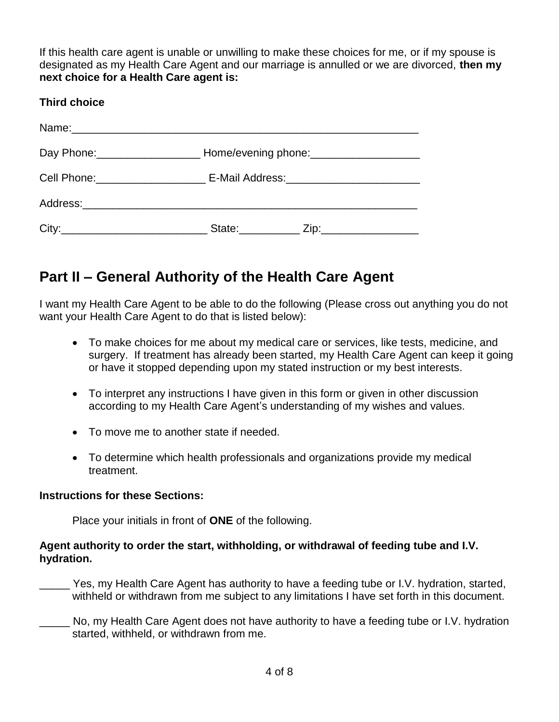If this health care agent is unable or unwilling to make these choices for me, or if my spouse is designated as my Health Care Agent and our marriage is annulled or we are divorced, **then my next choice for a Health Care agent is:**

#### **Third choice**

| Day Phone: ___________________________Home/evening phone: ______________________ |                       |                        |
|----------------------------------------------------------------------------------|-----------------------|------------------------|
| Cell Phone: _________________________ E-Mail Address: __________________________ |                       |                        |
|                                                                                  |                       |                        |
|                                                                                  | State: <b>Example</b> | Zip:__________________ |

# **Part II – General Authority of the Health Care Agent**

I want my Health Care Agent to be able to do the following (Please cross out anything you do not want your Health Care Agent to do that is listed below):

- To make choices for me about my medical care or services, like tests, medicine, and surgery. If treatment has already been started, my Health Care Agent can keep it going or have it stopped depending upon my stated instruction or my best interests.
- To interpret any instructions I have given in this form or given in other discussion according to my Health Care Agent's understanding of my wishes and values.
- To move me to another state if needed.
- To determine which health professionals and organizations provide my medical treatment.

#### **Instructions for these Sections:**

Place your initials in front of **ONE** of the following.

#### **Agent authority to order the start, withholding, or withdrawal of feeding tube and I.V. hydration.**

- Yes, my Health Care Agent has authority to have a feeding tube or I.V. hydration, started, withheld or withdrawn from me subject to any limitations I have set forth in this document.
- \_\_\_\_\_ No, my Health Care Agent does not have authority to have a feeding tube or I.V. hydration started, withheld, or withdrawn from me.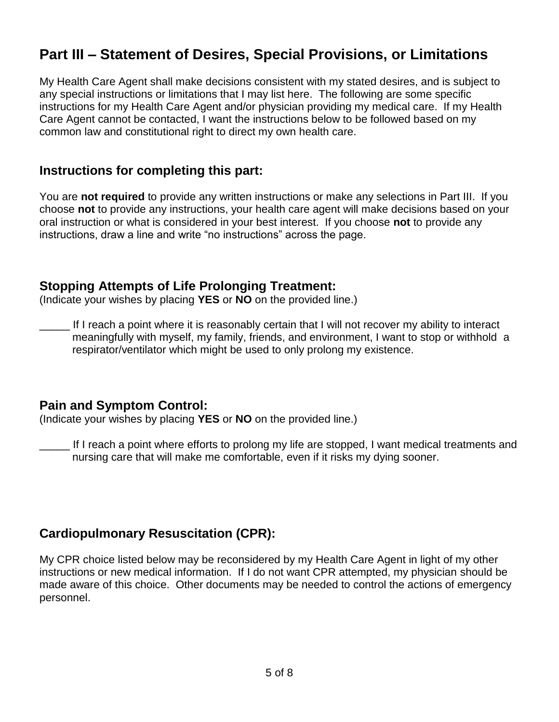# **Part III – Statement of Desires, Special Provisions, or Limitations**

My Health Care Agent shall make decisions consistent with my stated desires, and is subject to any special instructions or limitations that I may list here. The following are some specific instructions for my Health Care Agent and/or physician providing my medical care. If my Health Care Agent cannot be contacted, I want the instructions below to be followed based on my common law and constitutional right to direct my own health care.

#### **Instructions for completing this part:**

You are **not required** to provide any written instructions or make any selections in Part III. If you choose **not** to provide any instructions, your health care agent will make decisions based on your oral instruction or what is considered in your best interest. If you choose **not** to provide any instructions, draw a line and write "no instructions" across the page.

#### **Stopping Attempts of Life Prolonging Treatment:**

(Indicate your wishes by placing **YES** or **NO** on the provided line.)

If I reach a point where it is reasonably certain that I will not recover my ability to interact meaningfully with myself, my family, friends, and environment, I want to stop or withhold a respirator/ventilator which might be used to only prolong my existence.

#### **Pain and Symptom Control:**

(Indicate your wishes by placing **YES** or **NO** on the provided line.)

\_\_\_\_\_ If I reach a point where efforts to prolong my life are stopped, I want medical treatments and nursing care that will make me comfortable, even if it risks my dying sooner.

### **Cardiopulmonary Resuscitation (CPR):**

My CPR choice listed below may be reconsidered by my Health Care Agent in light of my other instructions or new medical information. If I do not want CPR attempted, my physician should be made aware of this choice. Other documents may be needed to control the actions of emergency personnel.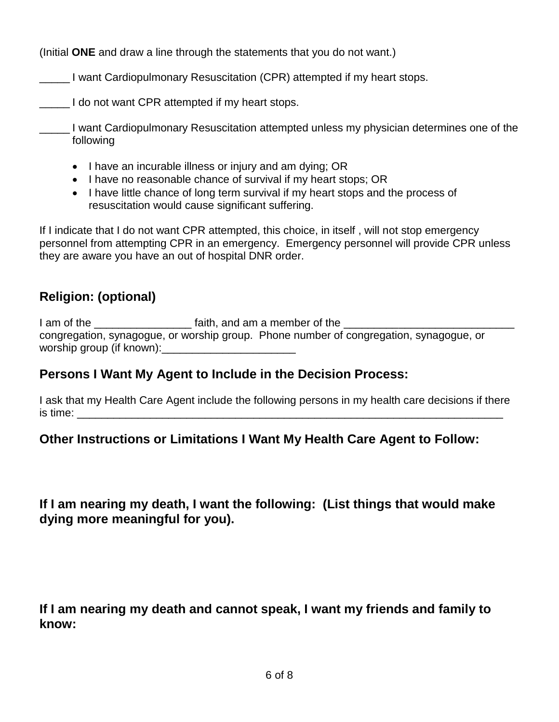(Initial **ONE** and draw a line through the statements that you do not want.)

\_\_\_\_\_ I want Cardiopulmonary Resuscitation (CPR) attempted if my heart stops.

**The I** do not want CPR attempted if my heart stops.

\_\_\_\_\_ I want Cardiopulmonary Resuscitation attempted unless my physician determines one of the following

- I have an incurable illness or injury and am dying; OR
- I have no reasonable chance of survival if my heart stops; OR
- I have little chance of long term survival if my heart stops and the process of resuscitation would cause significant suffering.

If I indicate that I do not want CPR attempted, this choice, in itself , will not stop emergency personnel from attempting CPR in an emergency. Emergency personnel will provide CPR unless they are aware you have an out of hospital DNR order.

# **Religion: (optional)**

I am of the \_\_\_\_\_\_\_\_\_\_\_\_\_\_\_\_ faith, and am a member of the \_\_\_\_\_\_\_\_\_\_\_\_\_\_\_\_\_\_\_\_\_\_\_\_\_\_\_\_ congregation, synagogue, or worship group. Phone number of congregation, synagogue, or worship group (if known):

### **Persons I Want My Agent to Include in the Decision Process:**

I ask that my Health Care Agent include the following persons in my health care decisions if there is time: \_\_\_\_\_\_\_\_\_\_\_\_\_\_\_\_\_\_\_\_\_\_\_\_\_\_\_\_\_\_\_\_\_\_\_\_\_\_\_\_\_\_\_\_\_\_\_\_\_\_\_\_\_\_\_\_\_\_\_\_\_\_\_\_\_\_\_\_\_\_

### **Other Instructions or Limitations I Want My Health Care Agent to Follow:**

**If I am nearing my death, I want the following: (List things that would make dying more meaningful for you).**

**If I am nearing my death and cannot speak, I want my friends and family to know:**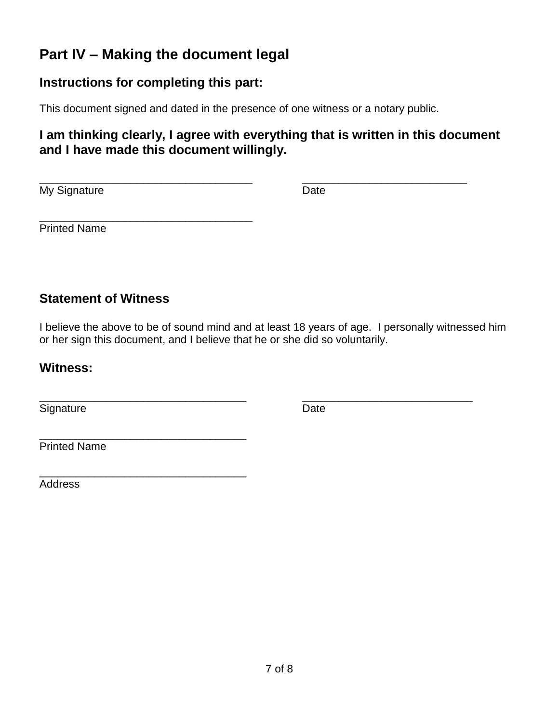# **Part IV – Making the document legal**

#### **Instructions for completing this part:**

\_\_\_\_\_\_\_\_\_\_\_\_\_\_\_\_\_\_\_\_\_\_\_\_\_\_\_\_\_\_\_\_\_\_\_

\_\_\_\_\_\_\_\_\_\_\_\_\_\_\_\_\_\_\_\_\_\_\_\_\_\_\_\_\_\_\_\_\_\_

This document signed and dated in the presence of one witness or a notary public.

#### **I am thinking clearly, I agree with everything that is written in this document and I have made this document willingly.**

\_\_\_\_\_\_\_\_\_\_\_\_\_\_\_\_\_\_\_\_\_\_\_\_\_\_\_\_\_\_\_\_\_\_\_ \_\_\_\_\_\_\_\_\_\_\_\_\_\_\_\_\_\_\_\_\_\_\_\_\_\_\_ My Signature Date Date

Printed Name

#### **Statement of Witness**

I believe the above to be of sound mind and at least 18 years of age. I personally witnessed him or her sign this document, and I believe that he or she did so voluntarily.

\_\_\_\_\_\_\_\_\_\_\_\_\_\_\_\_\_\_\_\_\_\_\_\_\_\_\_\_\_\_\_\_\_\_ \_\_\_\_\_\_\_\_\_\_\_\_\_\_\_\_\_\_\_\_\_\_\_\_\_\_\_\_

#### **Witness:**

Signature Date

\_\_\_\_\_\_\_\_\_\_\_\_\_\_\_\_\_\_\_\_\_\_\_\_\_\_\_\_\_\_\_\_\_\_ Printed Name

Address